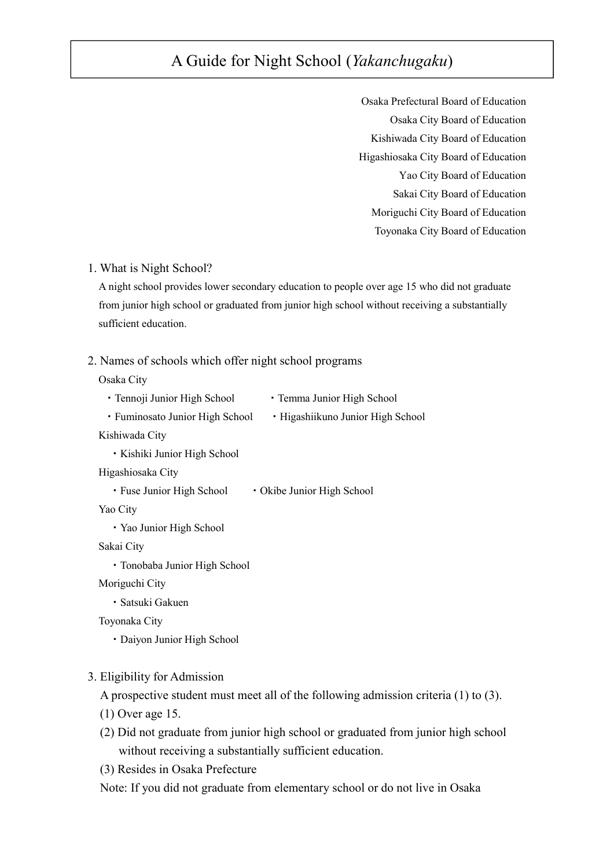# A Guide for Night School (*Yakanchugaku*)

Osaka Prefectural Board of Education Osaka City Board of Education Kishiwada City Board of Education Higashiosaka City Board of Education Yao City Board of Education Sakai City Board of Education Moriguchi City Board of Education Toyonaka City Board of Education

#### 1. What is Night School?

A night school provides lower secondary education to people over age 15 who did not graduate from junior high school or graduated from junior high school without receiving a substantially sufficient education.

#### 2. Names of schools which offer night school programs

Osaka City

- Tennoji Junior High School Temma Junior High School
- Fuminosato Junior High School Higashiikuno Junior High School

Kishiwada City

・Kishiki Junior High School

Higashiosaka City

• Fuse Junior High School • Okibe Junior High School

Yao City

・Yao Junior High School

Sakai City

・Tonobaba Junior High School

Moriguchi City

・Satsuki Gakuen

Toyonaka City

・Daiyon Junior High School

#### 3. Eligibility for Admission

A prospective student must meet all of the following admission criteria (1) to (3).

- (1) Over age 15.
- (2) Did not graduate from junior high school or graduated from junior high school without receiving a substantially sufficient education.

(3) Resides in Osaka Prefecture

Note: If you did not graduate from elementary school or do not live in Osaka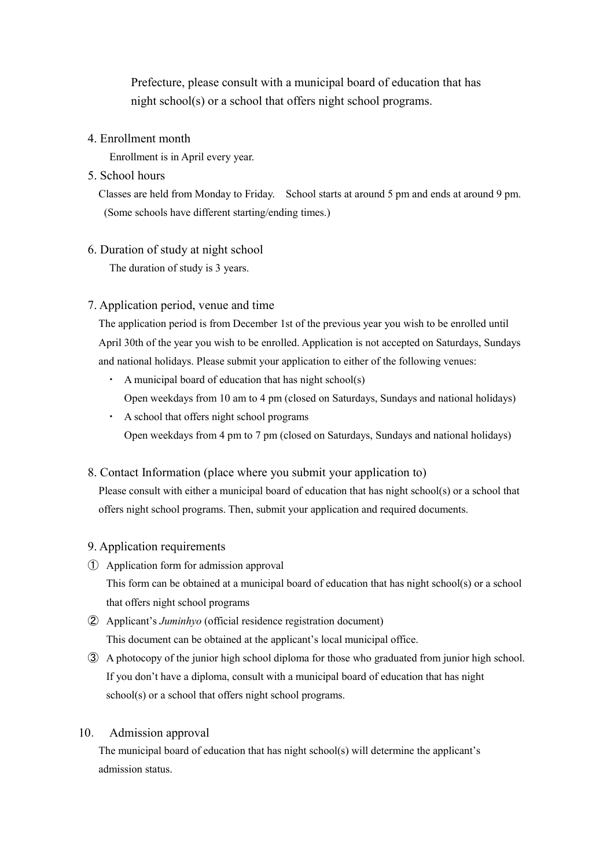Prefecture, please consult with a municipal board of education that has night school(s) or a school that offers night school programs.

#### 4. Enrollment month

Enrollment is in April every year.

## 5. School hours

Classes are held from Monday to Friday. School starts at around 5 pm and ends at around 9 pm. (Some schools have different starting/ending times.)

## 6. Duration of study at night school

The duration of study is 3 years.

# 7. Application period, venue and time

The application period is from December 1st of the previous year you wish to be enrolled until April 30th of the year you wish to be enrolled. Application is not accepted on Saturdays, Sundays and national holidays. Please submit your application to either of the following venues:

- $\cdot$  A municipal board of education that has night school(s) Open weekdays from 10 am to 4 pm (closed on Saturdays, Sundays and national holidays)
- ・ A school that offers night school programs Open weekdays from 4 pm to 7 pm (closed on Saturdays, Sundays and national holidays)

# 8. Contact Information (place where you submit your application to)

Please consult with either a municipal board of education that has night school(s) or a school that offers night school programs. Then, submit your application and required documents.

# 9. Application requirements

① Application form for admission approval

This form can be obtained at a municipal board of education that has night school(s) or a school that offers night school programs

- ② Applicant's *Juminhyo* (official residence registration document) This document can be obtained at the applicant's local municipal office.
- ③ A photocopy of the junior high school diploma for those who graduated from junior high school. If you don't have a diploma, consult with a municipal board of education that has night school(s) or a school that offers night school programs.

## 10. Admission approval

The municipal board of education that has night school(s) will determine the applicant's admission status.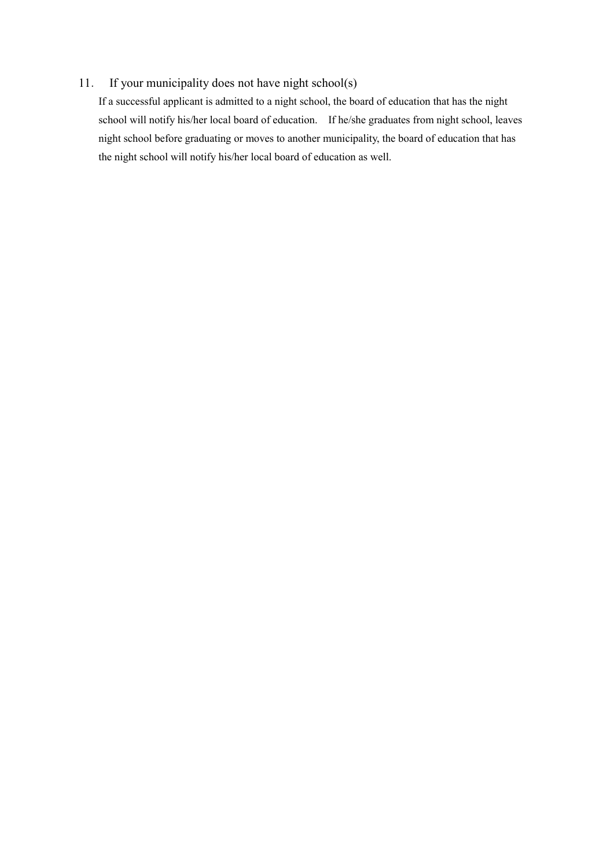# 11. If your municipality does not have night school(s)

If a successful applicant is admitted to a night school, the board of education that has the night school will notify his/her local board of education. If he/she graduates from night school, leaves night school before graduating or moves to another municipality, the board of education that has the night school will notify his/her local board of education as well.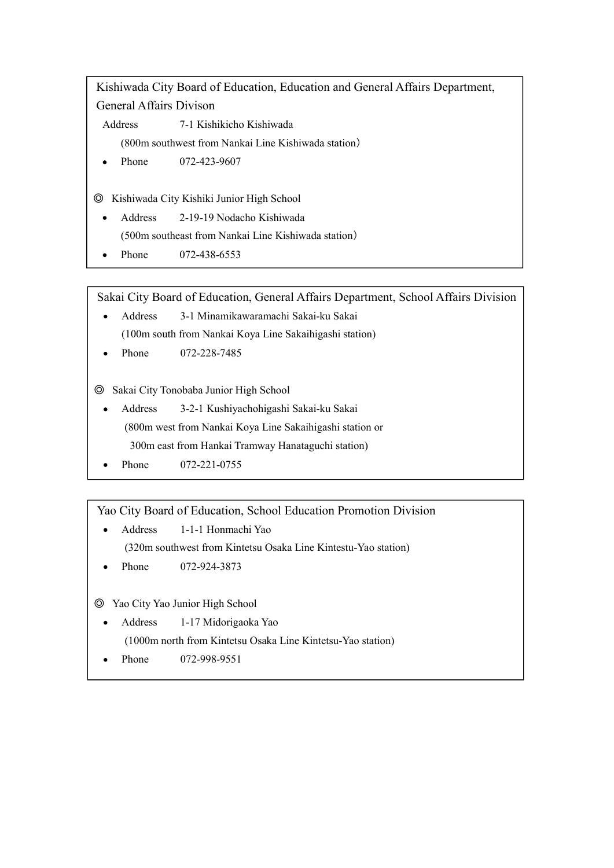Kishiwada City Board of Education, Education and General Affairs Department, General Affairs Divison

Address 7-1 Kishikicho Kishiwada

(800m southwest from Nankai Line Kishiwada station)

Phone 072-423-9607

◎ Kishiwada City Kishiki Junior High School

- Address 2-19-19 Nodacho Kishiwada (500m southeast from Nankai Line Kishiwada station)
- Phone 072-438-6553  $\bullet$

Sakai City Board of Education, General Affairs Department, School Affairs Division

- Address 3-1 Minamikawaramachi Sakai-ku Sakai  $\bullet$ (100m south from Nankai Koya Line Sakaihigashi station)
- Phone 072-228-7485

◎ Sakai City Tonobaba Junior High School

- Address 3-2-1 Kushiyachohigashi Sakai-ku Sakai (800m west from Nankai Koya Line Sakaihigashi station or 300m east from Hankai Tramway Hanataguchi station)
- Phone 072-221-0755

Yao City Board of Education, School Education Promotion Division

- Address 1-1-1 Honmachi Yao (320m southwest from Kintetsu Osaka Line Kintestu-Yao station)
- Phone 072-924-3873

# ◎ Yao City Yao Junior High School

Address 1-17 Midorigaoka Yao

(1000m north from Kintetsu Osaka Line Kintetsu-Yao station)

Phone 072-998-9551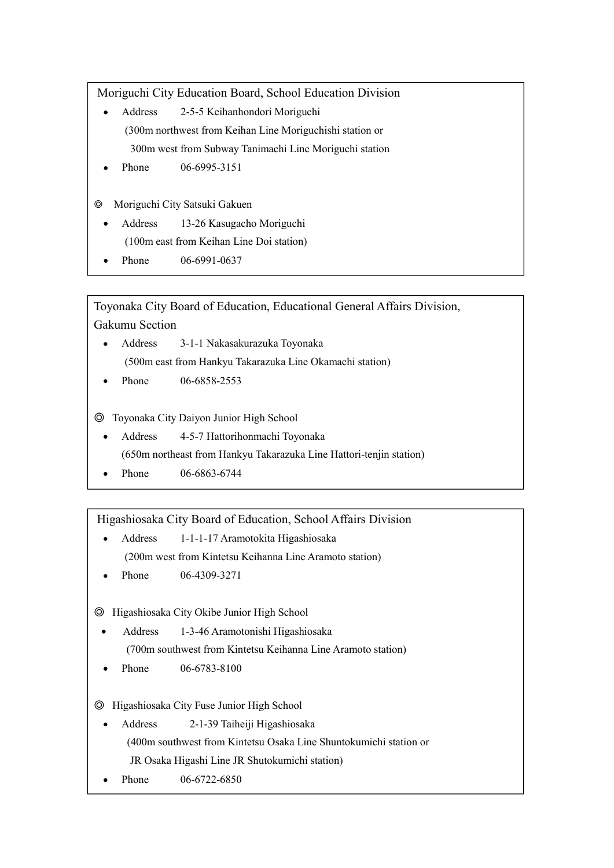Moriguchi City Education Board, School Education Division

- Address 2-5-5 Keihanhondori Moriguchi (300m northwest from Keihan Line Moriguchishi station or 300m west from Subway Tanimachi Line Moriguchi station
- Phone 06-6995-3151
- ◎ Moriguchi City Satsuki Gakuen
	- Address 13-26 Kasugacho Moriguchi (100m east from Keihan Line Doi station)
	- Phone 06-6991-0637

Toyonaka City Board of Education, Educational General Affairs Division, Gakumu Section

- Address 3-1-1 Nakasakurazuka Toyonaka (500m east from Hankyu Takarazuka Line Okamachi station)
- Phone 06-6858-2553

◎ Toyonaka City Daiyon Junior High School

Address 4-5-7 Hattorihonmachi Toyonaka

(650m northeast from Hankyu Takarazuka Line Hattori-tenjin station)

Phone 06-6863-6744

Higashiosaka City Board of Education, School Affairs Division

- Address 1-1-1-17 Aramotokita Higashiosaka (200m west from Kintetsu Keihanna Line Aramoto station)
- Phone 06-4309-3271

◎ Higashiosaka City Okibe Junior High School

- Address 1-3-46 Aramotonishi Higashiosaka (700m southwest from Kintetsu Keihanna Line Aramoto station)
- Phone 06-6783-8100

◎ Higashiosaka City Fuse Junior High School

- Address 2-1-39 Taiheiji Higashiosaka (400m southwest from Kintetsu Osaka Line Shuntokumichi station or JR Osaka Higashi Line JR Shutokumichi station)
- Phone 06-6722-6850